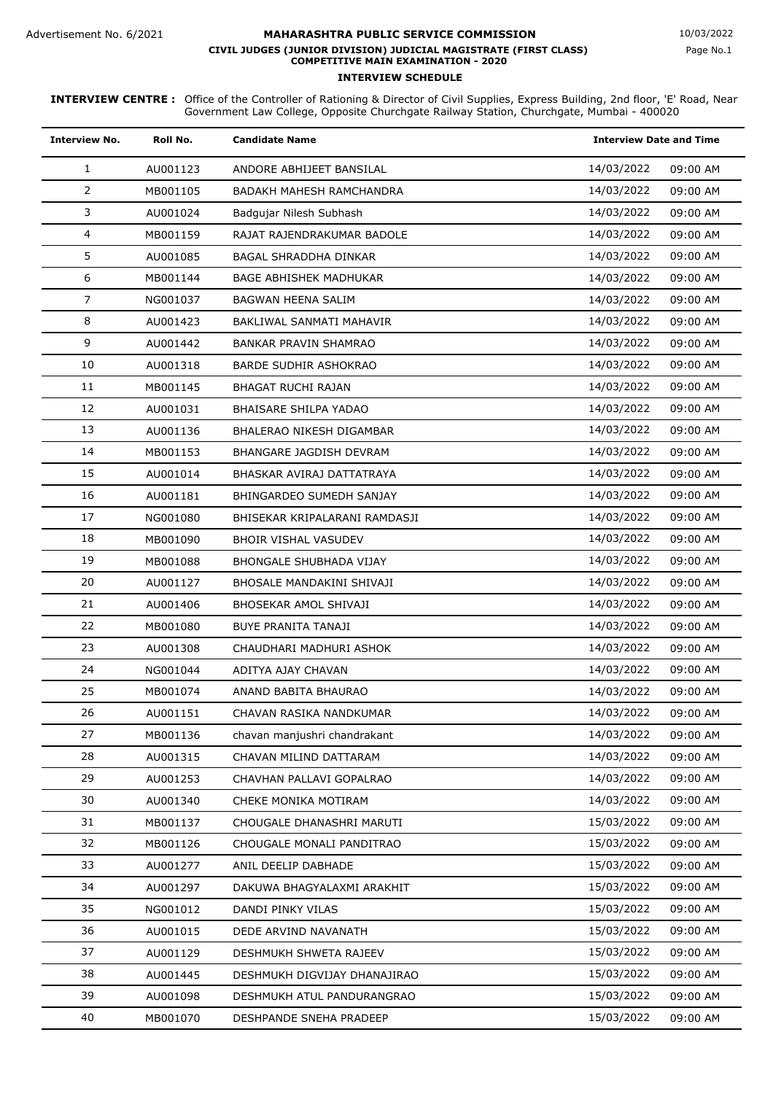Page No.1

| <b>Interview No.</b> | Roll No. | <b>Candidate Name</b>          | <b>Interview Date and Time</b> |
|----------------------|----------|--------------------------------|--------------------------------|
| $\mathbf{1}$         | AU001123 | ANDORE ABHIJEET BANSILAL       | 14/03/2022<br>09:00 AM         |
| $\overline{2}$       | MB001105 | BADAKH MAHESH RAMCHANDRA       | 14/03/2022<br>09:00 AM         |
| 3                    | AU001024 | Badqujar Nilesh Subhash        | 14/03/2022<br>09:00 AM         |
| 4                    | MB001159 | RAJAT RAJENDRAKUMAR BADOLE     | 14/03/2022<br>09:00 AM         |
| 5                    | AU001085 | <b>BAGAL SHRADDHA DINKAR</b>   | 14/03/2022<br>09:00 AM         |
| 6                    | MB001144 | BAGE ABHISHEK MADHUKAR         | 14/03/2022<br>09:00 AM         |
| $\overline{7}$       | NG001037 | BAGWAN HEENA SALIM             | 14/03/2022<br>09:00 AM         |
| 8                    | AU001423 | BAKLIWAL SANMATI MAHAVIR       | 14/03/2022<br>09:00 AM         |
| 9                    | AU001442 | <b>BANKAR PRAVIN SHAMRAO</b>   | 14/03/2022<br>09:00 AM         |
| 10                   | AU001318 | <b>BARDE SUDHIR ASHOKRAO</b>   | 14/03/2022<br>09:00 AM         |
| 11                   | MB001145 | <b>BHAGAT RUCHI RAJAN</b>      | 14/03/2022<br>09:00 AM         |
| 12                   | AU001031 | <b>BHAISARE SHILPA YADAO</b>   | 14/03/2022<br>09:00 AM         |
| 13                   | AU001136 | BHALERAO NIKESH DIGAMBAR       | 14/03/2022<br>09:00 AM         |
| 14                   | MB001153 | <b>BHANGARE JAGDISH DEVRAM</b> | 14/03/2022<br>09:00 AM         |
| 15                   | AU001014 | BHASKAR AVIRAJ DATTATRAYA      | 14/03/2022<br>09:00 AM         |
| 16                   | AU001181 | BHINGARDEO SUMEDH SANJAY       | 14/03/2022<br>09:00 AM         |
| 17                   | NG001080 | BHISEKAR KRIPALARANI RAMDASJI  | 14/03/2022<br>09:00 AM         |
| 18                   | MB001090 | <b>BHOIR VISHAL VASUDEV</b>    | 14/03/2022<br>09:00 AM         |
| 19                   | MB001088 | <b>BHONGALE SHUBHADA VIJAY</b> | 14/03/2022<br>09:00 AM         |
| 20                   | AU001127 | BHOSALE MANDAKINI SHIVAJI      | 14/03/2022<br>09:00 AM         |
| 21                   | AU001406 | BHOSEKAR AMOL SHIVAJI          | 14/03/2022<br>09:00 AM         |
| 22                   | MB001080 | BUYE PRANITA TANAJI            | 14/03/2022<br>09:00 AM         |
| 23                   | AU001308 | CHAUDHARI MADHURI ASHOK        | 14/03/2022<br>09:00 AM         |
| 24                   | NG001044 | ADITYA AJAY CHAVAN             | 14/03/2022<br>09:00 AM         |
| 25                   | MB001074 | ANAND BABITA BHAURAO           | 14/03/2022<br>09:00 AM         |
| 26                   | AU001151 | CHAVAN RASIKA NANDKUMAR        | 14/03/2022<br>09:00 AM         |
| 27                   | MB001136 | chavan manjushri chandrakant   | 14/03/2022<br>09:00 AM         |
| 28                   | AU001315 | CHAVAN MILIND DATTARAM         | 14/03/2022<br>09:00 AM         |
| 29                   | AU001253 | CHAVHAN PALLAVI GOPALRAO       | 14/03/2022<br>09:00 AM         |
| 30                   | AU001340 | CHEKE MONIKA MOTIRAM           | 14/03/2022<br>09:00 AM         |
| 31                   | MB001137 | CHOUGALE DHANASHRI MARUTI      | 15/03/2022<br>09:00 AM         |
| 32                   | MB001126 | CHOUGALE MONALI PANDITRAO      | 15/03/2022<br>09:00 AM         |
| 33                   | AU001277 | ANIL DEELIP DABHADE            | 15/03/2022<br>09:00 AM         |
| 34                   | AU001297 | DAKUWA BHAGYALAXMI ARAKHIT     | 15/03/2022<br>09:00 AM         |
| 35                   | NG001012 | DANDI PINKY VILAS              | 15/03/2022<br>09:00 AM         |
| 36                   | AU001015 | DEDE ARVIND NAVANATH           | 15/03/2022<br>09:00 AM         |
| 37                   | AU001129 | DESHMUKH SHWETA RAJEEV         | 15/03/2022<br>09:00 AM         |
| 38                   | AU001445 | DESHMUKH DIGVIJAY DHANAJIRAO   | 15/03/2022<br>09:00 AM         |
| 39                   | AU001098 | DESHMUKH ATUL PANDURANGRAO     | 15/03/2022<br>09:00 AM         |
| 40                   | MB001070 | DESHPANDE SNEHA PRADEEP        | 15/03/2022<br>09:00 AM         |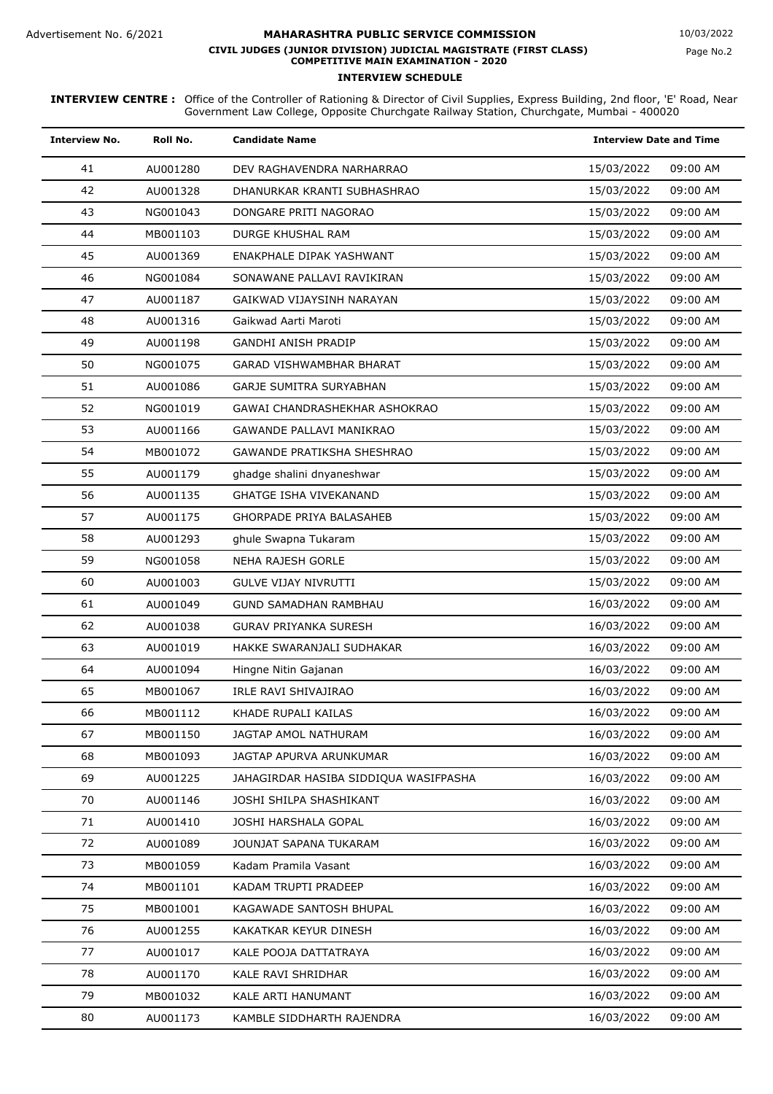| <b>Interview No.</b> | Roll No. | <b>Candidate Name</b>                 |            | <b>Interview Date and Time</b> |  |
|----------------------|----------|---------------------------------------|------------|--------------------------------|--|
| 41                   | AU001280 | DEV RAGHAVENDRA NARHARRAO             | 15/03/2022 | 09:00 AM                       |  |
| 42                   | AU001328 | DHANURKAR KRANTI SUBHASHRAO           | 15/03/2022 | 09:00 AM                       |  |
| 43                   | NG001043 | DONGARE PRITI NAGORAO                 | 15/03/2022 | 09:00 AM                       |  |
| 44                   | MB001103 | DURGE KHUSHAL RAM                     | 15/03/2022 | 09:00 AM                       |  |
| 45                   | AU001369 | ENAKPHALE DIPAK YASHWANT              | 15/03/2022 | 09:00 AM                       |  |
| 46                   | NG001084 | SONAWANE PALLAVI RAVIKIRAN            | 15/03/2022 | 09:00 AM                       |  |
| 47                   | AU001187 | GAIKWAD VIJAYSINH NARAYAN             | 15/03/2022 | 09:00 AM                       |  |
| 48                   | AU001316 | Gaikwad Aarti Maroti                  | 15/03/2022 | 09:00 AM                       |  |
| 49                   | AU001198 | <b>GANDHI ANISH PRADIP</b>            | 15/03/2022 | 09:00 AM                       |  |
| 50                   | NG001075 | <b>GARAD VISHWAMBHAR BHARAT</b>       | 15/03/2022 | 09:00 AM                       |  |
| 51                   | AU001086 | <b>GARJE SUMITRA SURYABHAN</b>        | 15/03/2022 | 09:00 AM                       |  |
| 52                   | NG001019 | GAWAI CHANDRASHEKHAR ASHOKRAO         | 15/03/2022 | 09:00 AM                       |  |
| 53                   | AU001166 | <b>GAWANDE PALLAVI MANIKRAO</b>       | 15/03/2022 | 09:00 AM                       |  |
| 54                   | MB001072 | <b>GAWANDE PRATIKSHA SHESHRAO</b>     | 15/03/2022 | 09:00 AM                       |  |
| 55                   | AU001179 | ghadge shalini dnyaneshwar            | 15/03/2022 | 09:00 AM                       |  |
| 56                   | AU001135 | <b>GHATGE ISHA VIVEKANAND</b>         | 15/03/2022 | 09:00 AM                       |  |
| 57                   | AU001175 | <b>GHORPADE PRIYA BALASAHEB</b>       | 15/03/2022 | 09:00 AM                       |  |
| 58                   | AU001293 | ghule Swapna Tukaram                  | 15/03/2022 | 09:00 AM                       |  |
| 59                   | NG001058 | <b>NEHA RAJESH GORLE</b>              | 15/03/2022 | 09:00 AM                       |  |
| 60                   | AU001003 | <b>GULVE VIJAY NIVRUTTI</b>           | 15/03/2022 | 09:00 AM                       |  |
| 61                   | AU001049 | <b>GUND SAMADHAN RAMBHAU</b>          | 16/03/2022 | 09:00 AM                       |  |
| 62                   | AU001038 | <b>GURAV PRIYANKA SURESH</b>          | 16/03/2022 | 09:00 AM                       |  |
| 63                   | AU001019 | HAKKE SWARANJALI SUDHAKAR             | 16/03/2022 | 09:00 AM                       |  |
| 64                   | AU001094 | Hingne Nitin Gajanan                  | 16/03/2022 | 09:00 AM                       |  |
| 65                   | MB001067 | IRLE RAVI SHIVAJIRAO                  | 16/03/2022 | 09:00 AM                       |  |
| 66                   | MB001112 | KHADE RUPALI KAILAS                   | 16/03/2022 | 09:00 AM                       |  |
| 67                   | MB001150 | JAGTAP AMOL NATHURAM                  | 16/03/2022 | 09:00 AM                       |  |
| 68                   | MB001093 | JAGTAP APURVA ARUNKUMAR               | 16/03/2022 | 09:00 AM                       |  |
| 69                   | AU001225 | JAHAGIRDAR HASIBA SIDDIQUA WASIFPASHA | 16/03/2022 | 09:00 AM                       |  |
| 70                   | AU001146 | JOSHI SHILPA SHASHIKANT               | 16/03/2022 | 09:00 AM                       |  |
| 71                   | AU001410 | JOSHI HARSHALA GOPAL                  | 16/03/2022 | 09:00 AM                       |  |
| 72                   | AU001089 | JOUNJAT SAPANA TUKARAM                | 16/03/2022 | 09:00 AM                       |  |
| 73                   | MB001059 | Kadam Pramila Vasant                  | 16/03/2022 | 09:00 AM                       |  |
| 74                   | MB001101 | KADAM TRUPTI PRADEEP                  | 16/03/2022 | 09:00 AM                       |  |
| 75                   | MB001001 | KAGAWADE SANTOSH BHUPAL               | 16/03/2022 | 09:00 AM                       |  |
| 76                   | AU001255 | KAKATKAR KEYUR DINESH                 | 16/03/2022 | 09:00 AM                       |  |
| 77                   | AU001017 | KALE POOJA DATTATRAYA                 | 16/03/2022 | 09:00 AM                       |  |
| 78                   | AU001170 | KALE RAVI SHRIDHAR                    | 16/03/2022 | 09:00 AM                       |  |
| 79                   | MB001032 | KALE ARTI HANUMANT                    | 16/03/2022 | 09:00 AM                       |  |
| 80                   | AU001173 | KAMBLE SIDDHARTH RAJENDRA             | 16/03/2022 | 09:00 AM                       |  |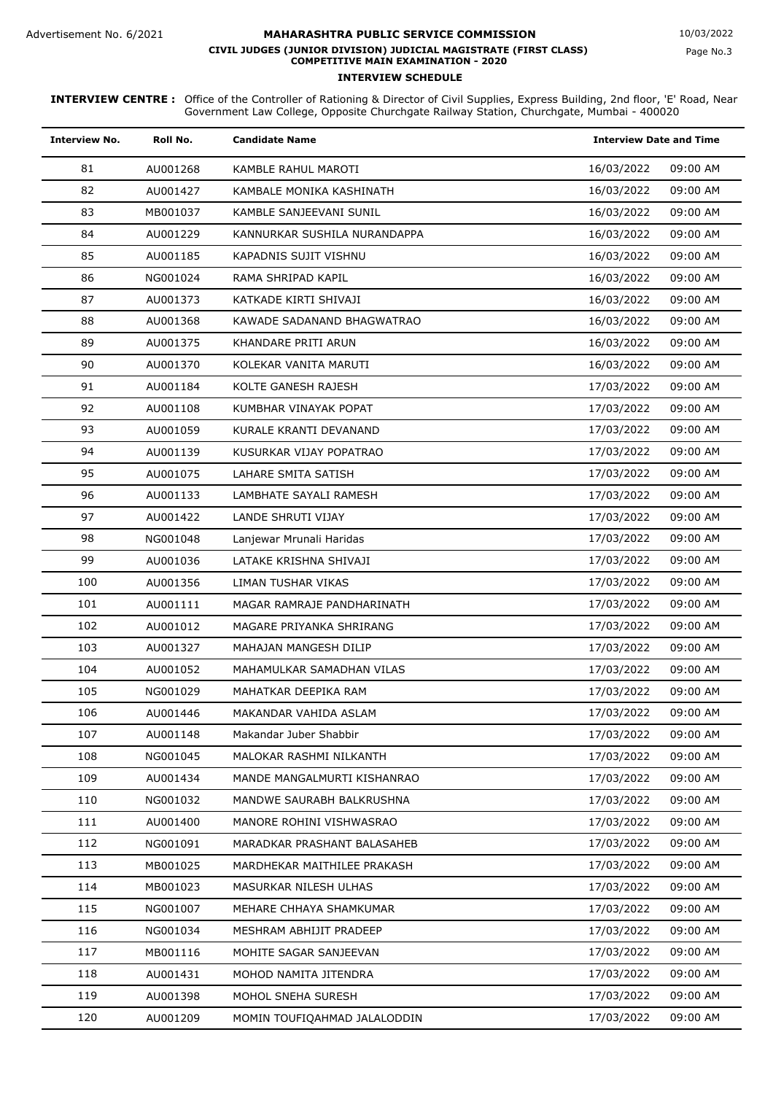| <b>Interview No.</b> | Roll No. | <b>Candidate Name</b>        | <b>Interview Date and Time</b> |
|----------------------|----------|------------------------------|--------------------------------|
| 81                   | AU001268 | KAMBLE RAHUL MAROTI          | 09:00 AM<br>16/03/2022         |
| 82                   | AU001427 | KAMBALE MONIKA KASHINATH     | 09:00 AM<br>16/03/2022         |
| 83                   | MB001037 | KAMBLE SANJEEVANI SUNIL      | 09:00 AM<br>16/03/2022         |
| 84                   | AU001229 | KANNURKAR SUSHILA NURANDAPPA | 16/03/2022<br>09:00 AM         |
| 85                   | AU001185 | KAPADNIS SUJIT VISHNU        | 16/03/2022<br>09:00 AM         |
| 86                   | NG001024 | RAMA SHRIPAD KAPIL           | 16/03/2022<br>09:00 AM         |
| 87                   | AU001373 | KATKADE KIRTI SHIVAJI        | 09:00 AM<br>16/03/2022         |
| 88                   | AU001368 | KAWADE SADANAND BHAGWATRAO   | 16/03/2022<br>09:00 AM         |
| 89                   | AU001375 | KHANDARE PRITI ARUN          | 16/03/2022<br>09:00 AM         |
| 90                   | AU001370 | KOLEKAR VANITA MARUTI        | 16/03/2022<br>09:00 AM         |
| 91                   | AU001184 | KOLTE GANESH RAJESH          | 09:00 AM<br>17/03/2022         |
| 92                   | AU001108 | KUMBHAR VINAYAK POPAT        | 09:00 AM<br>17/03/2022         |
| 93                   | AU001059 | KURALE KRANTI DEVANAND       | 09:00 AM<br>17/03/2022         |
| 94                   | AU001139 | KUSURKAR VIJAY POPATRAO      | 09:00 AM<br>17/03/2022         |
| 95                   | AU001075 | LAHARE SMITA SATISH          | 17/03/2022<br>09:00 AM         |
| 96                   | AU001133 | LAMBHATE SAYALI RAMESH       | 17/03/2022<br>09:00 AM         |
| 97                   | AU001422 | LANDE SHRUTI VIJAY           | 09:00 AM<br>17/03/2022         |
| 98                   | NG001048 | Lanjewar Mrunali Haridas     | 09:00 AM<br>17/03/2022         |
| 99                   | AU001036 | LATAKE KRISHNA SHIVAJI       | 17/03/2022<br>09:00 AM         |
| 100                  | AU001356 | LIMAN TUSHAR VIKAS           | 17/03/2022<br>09:00 AM         |
| 101                  | AU001111 | MAGAR RAMRAJE PANDHARINATH   | 17/03/2022<br>09:00 AM         |
| 102                  | AU001012 | MAGARE PRIYANKA SHRIRANG     | 09:00 AM<br>17/03/2022         |
| 103                  | AU001327 | MAHAJAN MANGESH DILIP        | 17/03/2022<br>09:00 AM         |
| 104                  | AU001052 | MAHAMULKAR SAMADHAN VILAS    | 17/03/2022<br>09:00 AM         |
| 105                  | NG001029 | MAHATKAR DEEPIKA RAM         | 17/03/2022<br>09:00 AM         |
| 106                  | AU001446 | MAKANDAR VAHIDA ASLAM        | 17/03/2022<br>09:00 AM         |
| 107                  | AU001148 | Makandar Juber Shabbir       | 17/03/2022<br>09:00 AM         |
| 108                  | NG001045 | MALOKAR RASHMI NILKANTH      | 09:00 AM<br>17/03/2022         |
| 109                  | AU001434 | MANDE MANGALMURTI KISHANRAO  | 17/03/2022<br>09:00 AM         |
| 110                  | NG001032 | MANDWE SAURABH BALKRUSHNA    | 09:00 AM<br>17/03/2022         |
| 111                  | AU001400 | MANORE ROHINI VISHWASRAO     | 09:00 AM<br>17/03/2022         |
| 112                  | NG001091 | MARADKAR PRASHANT BALASAHEB  | 09:00 AM<br>17/03/2022         |
| 113                  | MB001025 | MARDHEKAR MAITHILEE PRAKASH  | 17/03/2022<br>09:00 AM         |
| 114                  | MB001023 | MASURKAR NILESH ULHAS        | 17/03/2022<br>09:00 AM         |
| 115                  | NG001007 | MEHARE CHHAYA SHAMKUMAR      | 17/03/2022<br>09:00 AM         |
| 116                  | NG001034 | MESHRAM ABHIJIT PRADEEP      | 09:00 AM<br>17/03/2022         |
| 117                  | MB001116 | MOHITE SAGAR SANJEEVAN       | 09:00 AM<br>17/03/2022         |
| 118                  | AU001431 | MOHOD NAMITA JITENDRA        | 17/03/2022<br>09:00 AM         |
| 119                  | AU001398 | MOHOL SNEHA SURESH           | 17/03/2022<br>09:00 AM         |
| 120                  | AU001209 | MOMIN TOUFIQAHMAD JALALODDIN | 17/03/2022<br>09:00 AM         |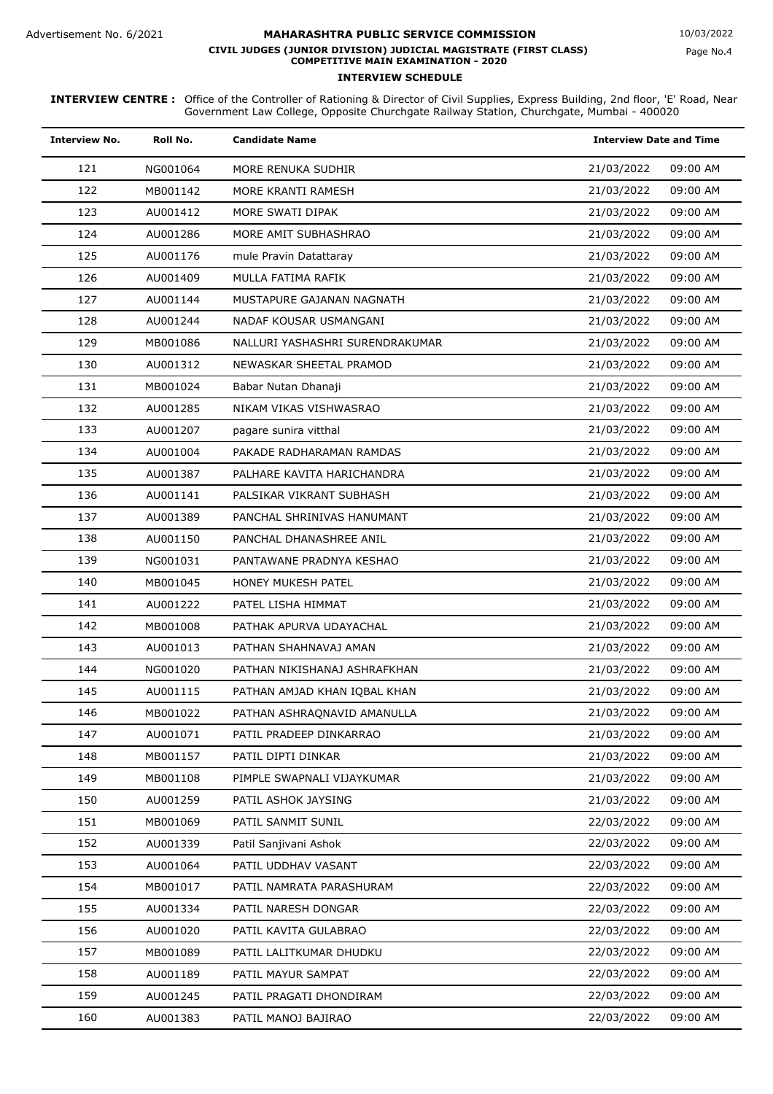| <b>Interview No.</b> | Roll No. | <b>Candidate Name</b>           | <b>Interview Date and Time</b> |
|----------------------|----------|---------------------------------|--------------------------------|
| 121                  | NG001064 | MORE RENUKA SUDHIR              | 09:00 AM<br>21/03/2022         |
| 122                  | MB001142 | MORE KRANTI RAMESH              | 09:00 AM<br>21/03/2022         |
| 123                  | AU001412 | MORE SWATI DIPAK                | 09:00 AM<br>21/03/2022         |
| 124                  | AU001286 | MORE AMIT SUBHASHRAO            | 21/03/2022<br>09:00 AM         |
| 125                  | AU001176 | mule Pravin Datattaray          | 09:00 AM<br>21/03/2022         |
| 126                  | AU001409 | MULLA FATIMA RAFIK              | 09:00 AM<br>21/03/2022         |
| 127                  | AU001144 | MUSTAPURE GAJANAN NAGNATH       | 09:00 AM<br>21/03/2022         |
| 128                  | AU001244 | NADAF KOUSAR USMANGANI          | 21/03/2022<br>09:00 AM         |
| 129                  | MB001086 | NALLURI YASHASHRI SURENDRAKUMAR | 09:00 AM<br>21/03/2022         |
| 130                  | AU001312 | NEWASKAR SHEETAL PRAMOD         | 09:00 AM<br>21/03/2022         |
| 131                  | MB001024 | Babar Nutan Dhanaji             | 21/03/2022<br>09:00 AM         |
| 132                  | AU001285 | NIKAM VIKAS VISHWASRAO          | 21/03/2022<br>09:00 AM         |
| 133                  | AU001207 | pagare sunira vitthal           | 09:00 AM<br>21/03/2022         |
| 134                  | AU001004 | PAKADE RADHARAMAN RAMDAS        | 21/03/2022<br>09:00 AM         |
| 135                  | AU001387 | PALHARE KAVITA HARICHANDRA      | 09:00 AM<br>21/03/2022         |
| 136                  | AU001141 | PALSIKAR VIKRANT SUBHASH        | 21/03/2022<br>09:00 AM         |
| 137                  | AU001389 | PANCHAL SHRINIVAS HANUMANT      | 09:00 AM<br>21/03/2022         |
| 138                  | AU001150 | PANCHAL DHANASHREE ANIL         | 09:00 AM<br>21/03/2022         |
| 139                  | NG001031 | PANTAWANE PRADNYA KESHAO        | 21/03/2022<br>09:00 AM         |
| 140                  | MB001045 | HONEY MUKESH PATEL              | 09:00 AM<br>21/03/2022         |
| 141                  | AU001222 | PATEL LISHA HIMMAT              | 09:00 AM<br>21/03/2022         |
| 142                  | MB001008 | PATHAK APURVA UDAYACHAL         | 09:00 AM<br>21/03/2022         |
| 143                  | AU001013 | PATHAN SHAHNAVAJ AMAN           | 09:00 AM<br>21/03/2022         |
| 144                  | NG001020 | PATHAN NIKISHANAJ ASHRAFKHAN    | 09:00 AM<br>21/03/2022         |
| 145                  | AU001115 | PATHAN AMJAD KHAN IQBAL KHAN    | 09:00 AM<br>21/03/2022         |
| 146                  | MB001022 | PATHAN ASHRAQNAVID AMANULLA     | 21/03/2022<br>09:00 AM         |
| 147                  | AU001071 | PATIL PRADEEP DINKARRAO         | 21/03/2022<br>09:00 AM         |
| 148                  | MB001157 | PATIL DIPTI DINKAR              | 21/03/2022<br>09:00 AM         |
| 149                  | MB001108 | PIMPLE SWAPNALI VIJAYKUMAR      | 09:00 AM<br>21/03/2022         |
| 150                  | AU001259 | PATIL ASHOK JAYSING             | 09:00 AM<br>21/03/2022         |
| 151                  | MB001069 | PATIL SANMIT SUNIL              | 09:00 AM<br>22/03/2022         |
| 152                  | AU001339 | Patil Sanjivani Ashok           | 22/03/2022<br>09:00 AM         |
| 153                  | AU001064 | PATIL UDDHAV VASANT             | 22/03/2022<br>09:00 AM         |
| 154                  | MB001017 | PATIL NAMRATA PARASHURAM        | 09:00 AM<br>22/03/2022         |
| 155                  | AU001334 | PATIL NARESH DONGAR             | 09:00 AM<br>22/03/2022         |
| 156                  | AU001020 | PATIL KAVITA GULABRAO           | 09:00 AM<br>22/03/2022         |
| 157                  | MB001089 | PATIL LALITKUMAR DHUDKU         | 09:00 AM<br>22/03/2022         |
| 158                  | AU001189 | PATIL MAYUR SAMPAT              | 09:00 AM<br>22/03/2022         |
| 159                  | AU001245 | PATIL PRAGATI DHONDIRAM         | 09:00 AM<br>22/03/2022         |
| 160                  | AU001383 | PATIL MANOJ BAJIRAO             | 09:00 AM<br>22/03/2022         |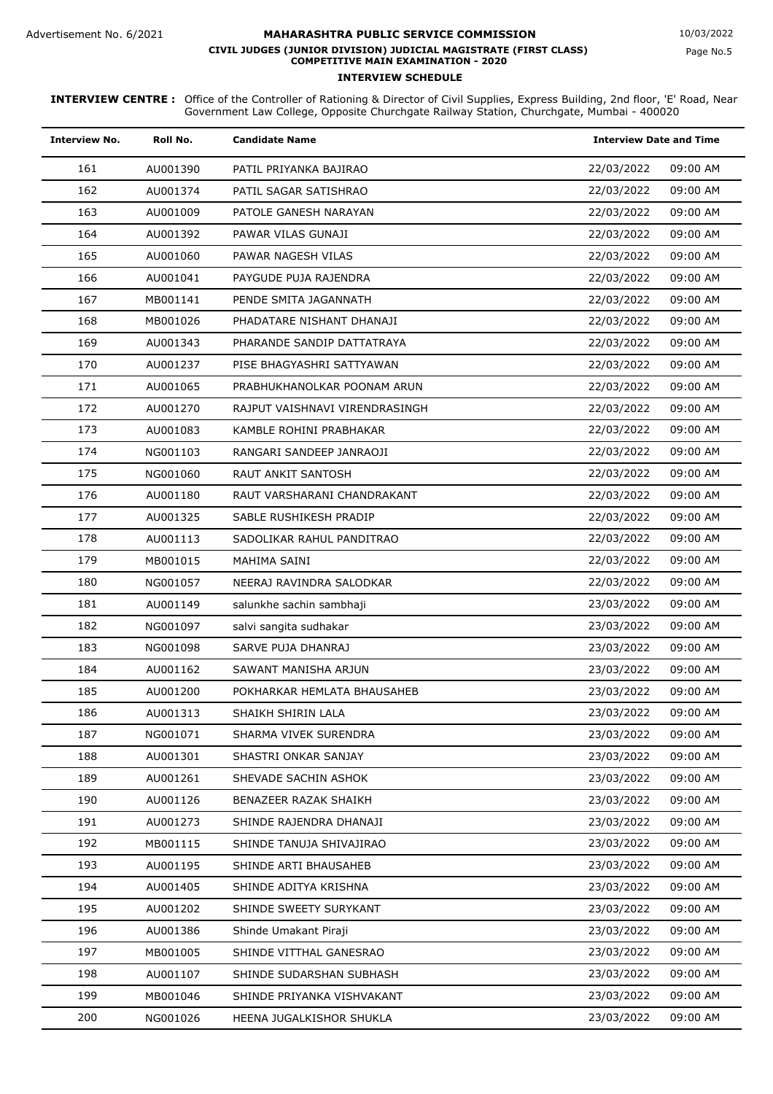| <b>Interview No.</b> | Roll No. | <b>Candidate Name</b>          | <b>Interview Date and Time</b> |
|----------------------|----------|--------------------------------|--------------------------------|
| 161                  | AU001390 | PATIL PRIYANKA BAJIRAO         | 22/03/2022<br>09:00 AM         |
| 162                  | AU001374 | PATIL SAGAR SATISHRAO          | 22/03/2022<br>09:00 AM         |
| 163                  | AU001009 | PATOLE GANESH NARAYAN          | 09:00 AM<br>22/03/2022         |
| 164                  | AU001392 | PAWAR VILAS GUNAJI             | 22/03/2022<br>09:00 AM         |
| 165                  | AU001060 | PAWAR NAGESH VILAS             | 22/03/2022<br>09:00 AM         |
| 166                  | AU001041 | PAYGUDE PUJA RAJENDRA          | 09:00 AM<br>22/03/2022         |
| 167                  | MB001141 | PENDE SMITA JAGANNATH          | 09:00 AM<br>22/03/2022         |
| 168                  | MB001026 | PHADATARE NISHANT DHANAJI      | 09:00 AM<br>22/03/2022         |
| 169                  | AU001343 | PHARANDE SANDIP DATTATRAYA     | 09:00 AM<br>22/03/2022         |
| 170                  | AU001237 | PISE BHAGYASHRI SATTYAWAN      | 22/03/2022<br>09:00 AM         |
| 171                  | AU001065 | PRABHUKHANOLKAR POONAM ARUN    | 22/03/2022<br>09:00 AM         |
| 172                  | AU001270 | RAJPUT VAISHNAVI VIRENDRASINGH | 22/03/2022<br>09:00 AM         |
| 173                  | AU001083 | KAMBLE ROHINI PRABHAKAR        | 09:00 AM<br>22/03/2022         |
| 174                  | NG001103 | RANGARI SANDEEP JANRAOJI       | 22/03/2022<br>09:00 AM         |
| 175                  | NG001060 | <b>RAUT ANKIT SANTOSH</b>      | 22/03/2022<br>09:00 AM         |
| 176                  | AU001180 | RAUT VARSHARANI CHANDRAKANT    | 22/03/2022<br>09:00 AM         |
| 177                  | AU001325 | SABLE RUSHIKESH PRADIP         | 22/03/2022<br>09:00 AM         |
| 178                  | AU001113 | SADOLIKAR RAHUL PANDITRAO      | 09:00 AM<br>22/03/2022         |
| 179                  | MB001015 | MAHIMA SAINI                   | 22/03/2022<br>09:00 AM         |
| 180                  | NG001057 | NEERAJ RAVINDRA SALODKAR       | 22/03/2022<br>09:00 AM         |
| 181                  | AU001149 | salunkhe sachin sambhaji       | 23/03/2022<br>09:00 AM         |
| 182                  | NG001097 | salvi sangita sudhakar         | 09:00 AM<br>23/03/2022         |
| 183                  | NG001098 | SARVE PUJA DHANRAJ             | 09:00 AM<br>23/03/2022         |
| 184                  | AU001162 | SAWANT MANISHA ARJUN           | 23/03/2022<br>09:00 AM         |
| 185                  | AU001200 | POKHARKAR HEMLATA BHAUSAHEB    | 23/03/2022<br>09:00 AM         |
| 186                  | AU001313 | SHAIKH SHIRIN LALA             | 23/03/2022<br>09:00 AM         |
| 187                  | NG001071 | SHARMA VIVEK SURENDRA          | 23/03/2022<br>09:00 AM         |
| 188                  | AU001301 | SHASTRI ONKAR SANJAY           | 09:00 AM<br>23/03/2022         |
| 189                  | AU001261 | SHEVADE SACHIN ASHOK           | 23/03/2022<br>09:00 AM         |
| 190                  | AU001126 | BENAZEER RAZAK SHAIKH          | 09:00 AM<br>23/03/2022         |
| 191                  | AU001273 | SHINDE RAJENDRA DHANAJI        | 09:00 AM<br>23/03/2022         |
| 192                  | MB001115 | SHINDE TANUJA SHIVAJIRAO       | 09:00 AM<br>23/03/2022         |
| 193                  | AU001195 | SHINDE ARTI BHAUSAHEB          | 23/03/2022<br>09:00 AM         |
| 194                  | AU001405 | SHINDE ADITYA KRISHNA          | 23/03/2022<br>09:00 AM         |
| 195                  | AU001202 | SHINDE SWEETY SURYKANT         | 23/03/2022<br>09:00 AM         |
| 196                  | AU001386 | Shinde Umakant Piraji          | 09:00 AM<br>23/03/2022         |
| 197                  | MB001005 | SHINDE VITTHAL GANESRAO        | 09:00 AM<br>23/03/2022         |
| 198                  | AU001107 | SHINDE SUDARSHAN SUBHASH       | 23/03/2022<br>09:00 AM         |
| 199                  | MB001046 | SHINDE PRIYANKA VISHVAKANT     | 23/03/2022<br>09:00 AM         |
| 200                  | NG001026 | HEENA JUGALKISHOR SHUKLA       | 23/03/2022<br>09:00 AM         |